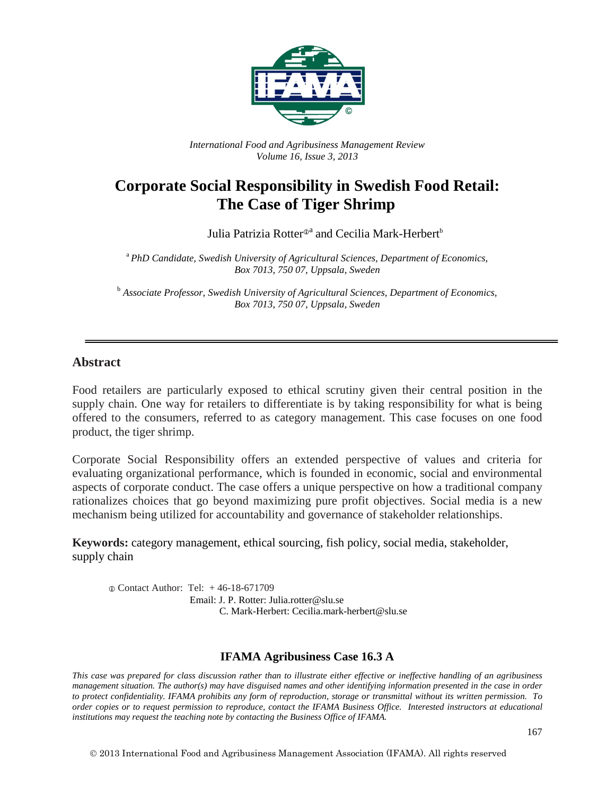

*International Food and Agribusiness Management Review Volume 16, Issue 3, 2013*

# **Corporate Social Responsibility in Swedish Food Retail: The Case of Tiger Shrimp**

Julia Patrizia Rotter<sup>®</sup> and Cecilia Mark-Herbert<sup>b</sup>

<sup>a</sup>*PhD Candidate, Swedish University of Agricultural Sciences, Department of Economics, Box 7013, 750 07, Uppsala, Sweden*

<sup>b</sup> *Associate Professor, Swedish University of Agricultural Sciences, Department of Economics, Box 7013, 750 07, Uppsala, Sweden*

#### **Abstract**

Food retailers are particularly exposed to ethical scrutiny given their central position in the supply chain. One way for retailers to differentiate is by taking responsibility for what is being offered to the consumers, referred to as category management. This case focuses on one food product, the tiger shrimp.

Corporate Social Responsibility offers an extended perspective of values and criteria for evaluating organizational performance, which is founded in economic, social and environmental aspects of corporate conduct. The case offers a unique perspective on how a traditional company rationalizes choices that go beyond maximizing pure profit objectives. Social media is a new mechanism being utilized for accountability and governance of stakeholder relationships.

**Keywords:** category management, ethical sourcing, fish policy, social media, stakeholder, supply chain

 Contact Author: Tel: + 46-18-671709 Email: J. P. Rotter: Julia rotter@slu.se C. Mark-Herbert: Cecilia.mark-herbert@slu.se

#### **IFAMA Agribusiness Case 16.3 A**

*This case was prepared for class discussion rather than to illustrate either effective or ineffective handling of an agribusiness management situation. The author(s) may have disguised names and other identifying information presented in the case in order to protect confidentiality. IFAMA prohibits any form of reproduction, storage or transmittal without its written permission. To order copies or to request permission to reproduce, contact the IFAMA Business Office. Interested instructors at educational institutions may request the teaching note by contacting the Business Office of IFAMA.*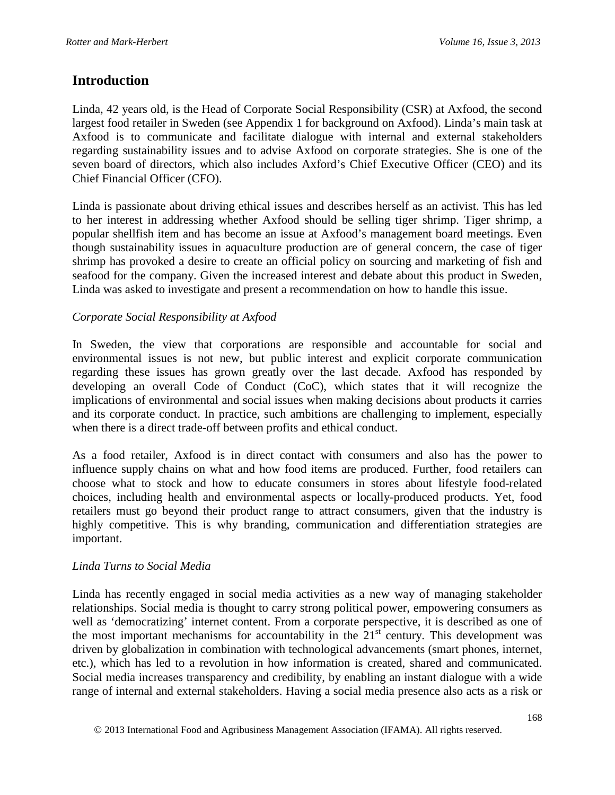### **Introduction**

Linda, 42 years old, is the Head of Corporate Social Responsibility (CSR) at Axfood, the second largest food retailer in Sweden (see Appendix 1 for background on Axfood). Linda's main task at Axfood is to communicate and facilitate dialogue with internal and external stakeholders regarding sustainability issues and to advise Axfood on corporate strategies. She is one of the seven board of directors, which also includes Axford's Chief Executive Officer (CEO) and its Chief Financial Officer (CFO).

Linda is passionate about driving ethical issues and describes herself as an activist. This has led to her interest in addressing whether Axfood should be selling tiger shrimp. Tiger shrimp, a popular shellfish item and has become an issue at Axfood's management board meetings. Even though sustainability issues in aquaculture production are of general concern, the case of tiger shrimp has provoked a desire to create an official policy on sourcing and marketing of fish and seafood for the company. Given the increased interest and debate about this product in Sweden, Linda was asked to investigate and present a recommendation on how to handle this issue.

#### *Corporate Social Responsibility at Axfood*

In Sweden, the view that corporations are responsible and accountable for social and environmental issues is not new, but public interest and explicit corporate communication regarding these issues has grown greatly over the last decade. Axfood has responded by developing an overall Code of Conduct (CoC), which states that it will recognize the implications of environmental and social issues when making decisions about products it carries and its corporate conduct. In practice, such ambitions are challenging to implement, especially when there is a direct trade-off between profits and ethical conduct.

As a food retailer, Axfood is in direct contact with consumers and also has the power to influence supply chains on what and how food items are produced. Further, food retailers can choose what to stock and how to educate consumers in stores about lifestyle food-related choices, including health and environmental aspects or locally-produced products. Yet, food retailers must go beyond their product range to attract consumers, given that the industry is highly competitive. This is why branding, communication and differentiation strategies are important.

#### *Linda Turns to Social Media*

Linda has recently engaged in social media activities as a new way of managing stakeholder relationships. Social media is thought to carry strong political power, empowering consumers as well as 'democratizing' internet content. From a corporate perspective, it is described as one of the most important mechanisms for accountability in the  $21<sup>st</sup>$  century. This development was driven by globalization in combination with technological advancements (smart phones, internet, etc.), which has led to a revolution in how information is created, shared and communicated. Social media increases transparency and credibility, by enabling an instant dialogue with a wide range of internal and external stakeholders. Having a social media presence also acts as a risk or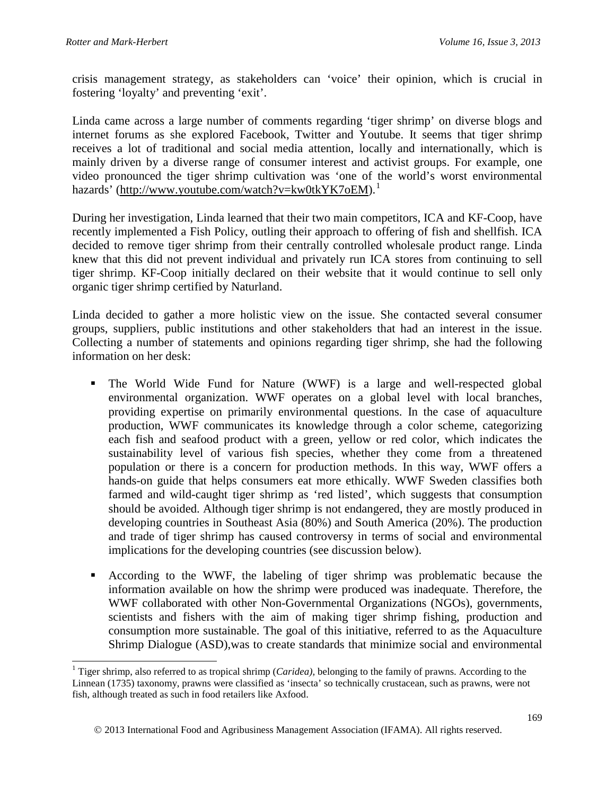crisis management strategy, as stakeholders can 'voice' their opinion, which is crucial in fostering 'loyalty' and preventing 'exit'.

Linda came across a large number of comments regarding 'tiger shrimp' on diverse blogs and internet forums as she explored Facebook, Twitter and Youtube. It seems that tiger shrimp receives a lot of traditional and social media attention, locally and internationally, which is mainly driven by a diverse range of consumer interest and activist groups. For example, one video pronounced the tiger shrimp cultivation was 'one of the world's worst environmental hazards' [\(http://www.youtube.com/watch?v=kw0tkYK7oEM\)](http://www.youtube.com/watch?v=kw0tkYK7oEM).<sup>[1](#page-2-0)</sup>

During her investigation, Linda learned that their two main competitors, ICA and KF-Coop, have recently implemented a Fish Policy, outling their approach to offering of fish and shellfish. ICA decided to remove tiger shrimp from their centrally controlled wholesale product range. Linda knew that this did not prevent individual and privately run ICA stores from continuing to sell tiger shrimp. KF-Coop initially declared on their website that it would continue to sell only organic tiger shrimp certified by Naturland.

Linda decided to gather a more holistic view on the issue. She contacted several consumer groups, suppliers, public institutions and other stakeholders that had an interest in the issue. Collecting a number of statements and opinions regarding tiger shrimp, she had the following information on her desk:

- The World Wide Fund for Nature (WWF) is a large and well-respected global environmental organization. WWF operates on a global level with local branches, providing expertise on primarily environmental questions. In the case of aquaculture production, WWF communicates its knowledge through a color scheme, categorizing each fish and seafood product with a green, yellow or red color, which indicates the sustainability level of various fish species, whether they come from a threatened population or there is a concern for production methods. In this way, WWF offers a hands-on guide that helps consumers eat more ethically. WWF Sweden classifies both farmed and wild-caught tiger shrimp as 'red listed', which suggests that consumption should be avoided. Although tiger shrimp is not endangered, they are mostly produced in developing countries in Southeast Asia (80%) and South America (20%). The production and trade of tiger shrimp has caused controversy in terms of social and environmental implications for the developing countries (see discussion below).
- According to the WWF, the labeling of tiger shrimp was problematic because the information available on how the shrimp were produced was inadequate. Therefore, the WWF collaborated with other Non-Governmental Organizations (NGOs), governments, scientists and fishers with the aim of making tiger shrimp fishing, production and consumption more sustainable. The goal of this initiative, referred to as the Aquaculture Shrimp Dialogue (ASD),was to create standards that minimize social and environmental

<span id="page-2-0"></span> <sup>1</sup> Tiger shrimp, also referred to as tropical shrimp (*Caridea),* belonging to the family of prawns. According to the Linnean (1735) taxonomy, prawns were classified as 'insecta' so technically crustacean, such as prawns, were not fish, although treated as such in food retailers like Axfood.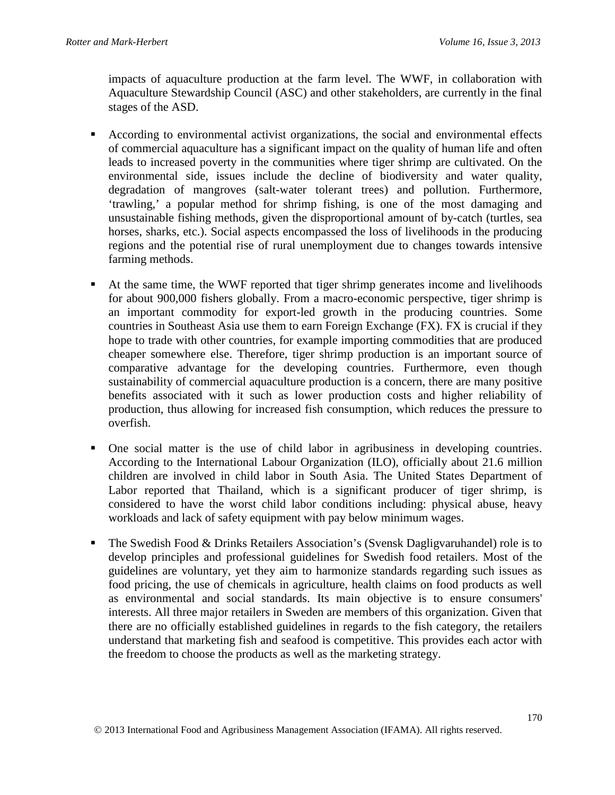impacts of aquaculture production at the farm level. The WWF, in collaboration with Aquaculture Stewardship Council (ASC) and other stakeholders, are currently in the final stages of the ASD.

- According to environmental activist organizations, the social and environmental effects of commercial aquaculture has a significant impact on the quality of human life and often leads to increased poverty in the communities where tiger shrimp are cultivated. On the environmental side, issues include the decline of biodiversity and water quality, degradation of mangroves (salt-water tolerant trees) and pollution. Furthermore, 'trawling,' a popular method for shrimp fishing, is one of the most damaging and unsustainable fishing methods, given the disproportional amount of by-catch (turtles, sea horses, sharks, etc.). Social aspects encompassed the loss of livelihoods in the producing regions and the potential rise of rural unemployment due to changes towards intensive farming methods.
- At the same time, the WWF reported that tiger shrimp generates income and livelihoods for about 900,000 fishers globally. From a macro-economic perspective, tiger shrimp is an important commodity for export-led growth in the producing countries. Some countries in Southeast Asia use them to earn Foreign Exchange (FX). FX is crucial if they hope to trade with other countries, for example importing commodities that are produced cheaper somewhere else. Therefore, tiger shrimp production is an important source of comparative advantage for the developing countries. Furthermore, even though sustainability of commercial aquaculture production is a concern, there are many positive benefits associated with it such as lower production costs and higher reliability of production, thus allowing for increased fish consumption, which reduces the pressure to overfish.
- One social matter is the use of child labor in agribusiness in developing countries. According to the International Labour Organization (ILO), officially about 21.6 million children are involved in child labor in South Asia. The United States Department of Labor reported that Thailand, which is a significant producer of tiger shrimp, is considered to have the worst child labor conditions including: physical abuse, heavy workloads and lack of safety equipment with pay below minimum wages.
- The Swedish Food & Drinks Retailers Association's (Svensk Dagligvaruhandel) role is to develop principles and professional guidelines for Swedish food retailers. Most of the guidelines are voluntary, yet they aim to harmonize standards regarding such issues as food pricing, the use of chemicals in agriculture, health claims on food products as well as environmental and social standards. Its main objective is to ensure consumers' interests. All three major retailers in Sweden are members of this organization. Given that there are no officially established guidelines in regards to the fish category, the retailers understand that marketing fish and seafood is competitive. This provides each actor with the freedom to choose the products as well as the marketing strategy.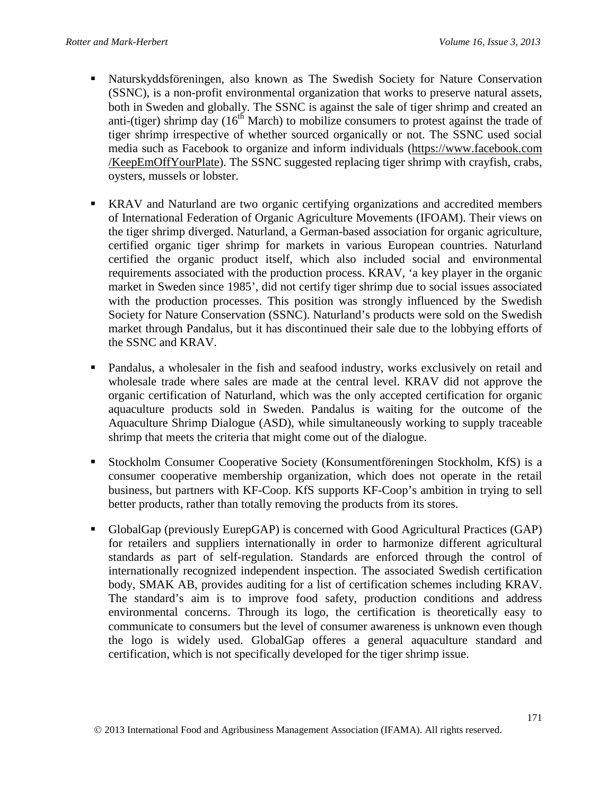- Naturskyddsföreningen, also known as The Swedish Society for Nature Conservation (SSNC), is a non-profit environmental organization that works to preserve natural assets, both in Sweden and globally. The SSNC is against the sale of tiger shrimp and created an anti-(tiger) shrimp day  $(16<sup>th</sup> March)$  to mobilize consumers to protest against the trade of tiger shrimp irrespective of whether sourced organically or not. The SSNC used social media such as Facebook to organize and inform individuals [\(https://www.facebook.com](https://www.facebook.com/) [/KeepEmOffYourPlate\)](https://www.facebook.com/KeepEmOffYourPlate). The SSNC suggested replacing tiger shrimp with crayfish, crabs, oysters, mussels or lobster.
- KRAV and Naturland are two organic certifying organizations and accredited members of International Federation of Organic Agriculture Movements (IFOAM). Their views on the tiger shrimp diverged. Naturland, a German-based association for organic agriculture, certified organic tiger shrimp for markets in various European countries. Naturland certified the organic product itself, which also included social and environmental requirements associated with the production process. KRAV, 'a key player in the organic market in Sweden since 1985', did not certify tiger shrimp due to social issues associated with the production processes. This position was strongly influenced by the Swedish Society for Nature Conservation (SSNC). Naturland's products were sold on the Swedish market through Pandalus, but it has discontinued their sale due to the lobbying efforts of the SSNC and KRAV.
- Pandalus, a wholesaler in the fish and seafood industry, works exclusively on retail and wholesale trade where sales are made at the central level. KRAV did not approve the organic certification of Naturland, which was the only accepted certification for organic aquaculture products sold in Sweden. Pandalus is waiting for the outcome of the Aquaculture Shrimp Dialogue (ASD), while simultaneously working to supply traceable shrimp that meets the criteria that might come out of the dialogue.
- Stockholm Consumer Cooperative Society (Konsumentföreningen Stockholm, KfS) is a consumer cooperative membership organization, which does not operate in the retail business, but partners with KF-Coop. KfS supports KF-Coop's ambition in trying to sell better products, rather than totally removing the products from its stores.
- GlobalGap (previously EurepGAP) is concerned with Good Agricultural Practices (GAP) for retailers and suppliers internationally in order to harmonize different agricultural standards as part of self-regulation. Standards are enforced through the control of internationally recognized independent inspection. The associated Swedish certification body, SMAK AB, provides auditing for a list of certification schemes including KRAV. The standard's aim is to improve food safety, production conditions and address environmental concerns. Through its logo, the certification is theoretically easy to communicate to consumers but the level of consumer awareness is unknown even though the logo is widely used. GlobalGap offeres a general aquaculture standard and certification, which is not specifically developed for the tiger shrimp issue.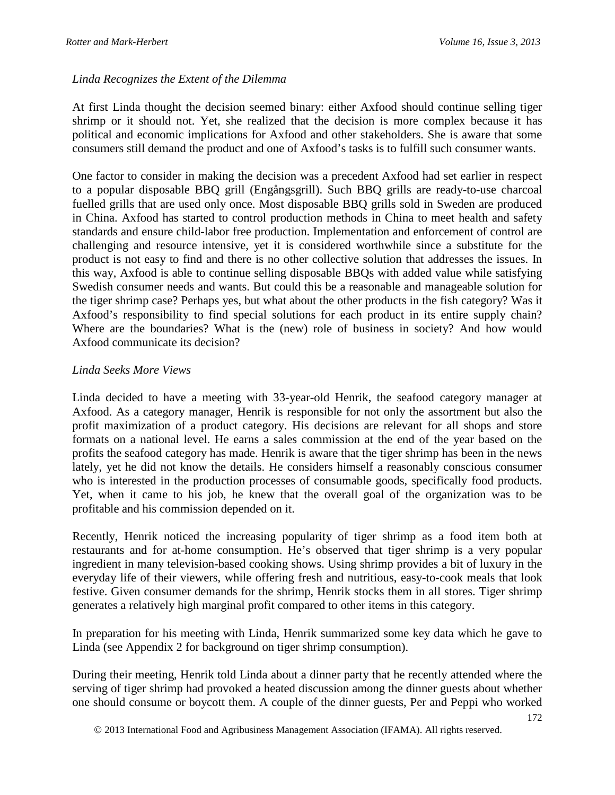#### *Linda Recognizes the Extent of the Dilemma*

At first Linda thought the decision seemed binary: either Axfood should continue selling tiger shrimp or it should not. Yet, she realized that the decision is more complex because it has political and economic implications for Axfood and other stakeholders. She is aware that some consumers still demand the product and one of Axfood's tasks is to fulfill such consumer wants.

One factor to consider in making the decision was a precedent Axfood had set earlier in respect to a popular disposable BBQ grill (Engångsgrill). Such BBQ grills are ready-to-use charcoal fuelled grills that are used only once. Most disposable BBQ grills sold in Sweden are produced in China. Axfood has started to control production methods in China to meet health and safety standards and ensure child-labor free production. Implementation and enforcement of control are challenging and resource intensive, yet it is considered worthwhile since a substitute for the product is not easy to find and there is no other collective solution that addresses the issues. In this way, Axfood is able to continue selling disposable BBQs with added value while satisfying Swedish consumer needs and wants. But could this be a reasonable and manageable solution for the tiger shrimp case? Perhaps yes, but what about the other products in the fish category? Was it Axfood's responsibility to find special solutions for each product in its entire supply chain? Where are the boundaries? What is the (new) role of business in society? And how would Axfood communicate its decision?

#### *Linda Seeks More Views*

Linda decided to have a meeting with 33-year-old Henrik, the seafood category manager at Axfood. As a category manager, Henrik is responsible for not only the assortment but also the profit maximization of a product category. His decisions are relevant for all shops and store formats on a national level. He earns a sales commission at the end of the year based on the profits the seafood category has made. Henrik is aware that the tiger shrimp has been in the news lately, yet he did not know the details. He considers himself a reasonably conscious consumer who is interested in the production processes of consumable goods, specifically food products. Yet, when it came to his job, he knew that the overall goal of the organization was to be profitable and his commission depended on it.

Recently, Henrik noticed the increasing popularity of tiger shrimp as a food item both at restaurants and for at-home consumption. He's observed that tiger shrimp is a very popular ingredient in many television-based cooking shows. Using shrimp provides a bit of luxury in the everyday life of their viewers, while offering fresh and nutritious, easy-to-cook meals that look festive. Given consumer demands for the shrimp, Henrik stocks them in all stores. Tiger shrimp generates a relatively high marginal profit compared to other items in this category.

In preparation for his meeting with Linda, Henrik summarized some key data which he gave to Linda (see Appendix 2 for background on tiger shrimp consumption).

During their meeting, Henrik told Linda about a dinner party that he recently attended where the serving of tiger shrimp had provoked a heated discussion among the dinner guests about whether one should consume or boycott them. A couple of the dinner guests, Per and Peppi who worked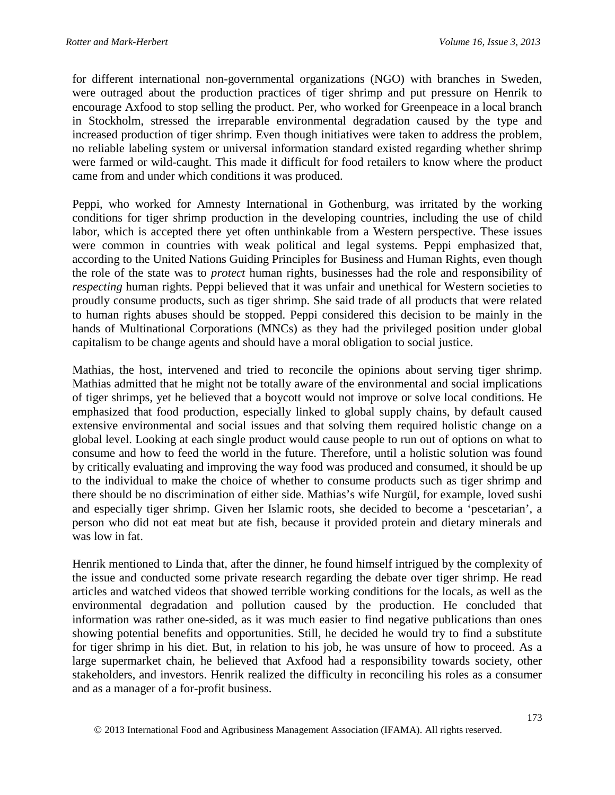for different international non-governmental organizations (NGO) with branches in Sweden, were outraged about the production practices of tiger shrimp and put pressure on Henrik to encourage Axfood to stop selling the product. Per, who worked for Greenpeace in a local branch in Stockholm, stressed the irreparable environmental degradation caused by the type and increased production of tiger shrimp. Even though initiatives were taken to address the problem, no reliable labeling system or universal information standard existed regarding whether shrimp were farmed or wild-caught. This made it difficult for food retailers to know where the product came from and under which conditions it was produced.

Peppi, who worked for Amnesty International in Gothenburg, was irritated by the working conditions for tiger shrimp production in the developing countries, including the use of child labor, which is accepted there yet often unthinkable from a Western perspective. These issues were common in countries with weak political and legal systems. Peppi emphasized that, according to the United Nations Guiding Principles for Business and Human Rights, even though the role of the state was to *protect* human rights, businesses had the role and responsibility of *respecting* human rights. Peppi believed that it was unfair and unethical for Western societies to proudly consume products, such as tiger shrimp. She said trade of all products that were related to human rights abuses should be stopped. Peppi considered this decision to be mainly in the hands of Multinational Corporations (MNCs) as they had the privileged position under global capitalism to be change agents and should have a moral obligation to social justice.

Mathias, the host, intervened and tried to reconcile the opinions about serving tiger shrimp. Mathias admitted that he might not be totally aware of the environmental and social implications of tiger shrimps, yet he believed that a boycott would not improve or solve local conditions. He emphasized that food production, especially linked to global supply chains, by default caused extensive environmental and social issues and that solving them required holistic change on a global level. Looking at each single product would cause people to run out of options on what to consume and how to feed the world in the future. Therefore, until a holistic solution was found by critically evaluating and improving the way food was produced and consumed, it should be up to the individual to make the choice of whether to consume products such as tiger shrimp and there should be no discrimination of either side. Mathias's wife Nurgül, for example, loved sushi and especially tiger shrimp. Given her Islamic roots, she decided to become a 'pescetarian', a person who did not eat meat but ate fish, because it provided protein and dietary minerals and was low in fat.

Henrik mentioned to Linda that, after the dinner, he found himself intrigued by the complexity of the issue and conducted some private research regarding the debate over tiger shrimp. He read articles and watched videos that showed terrible working conditions for the locals, as well as the environmental degradation and pollution caused by the production. He concluded that information was rather one-sided, as it was much easier to find negative publications than ones showing potential benefits and opportunities. Still, he decided he would try to find a substitute for tiger shrimp in his diet. But, in relation to his job, he was unsure of how to proceed. As a large supermarket chain, he believed that Axfood had a responsibility towards society, other stakeholders, and investors. Henrik realized the difficulty in reconciling his roles as a consumer and as a manager of a for-profit business.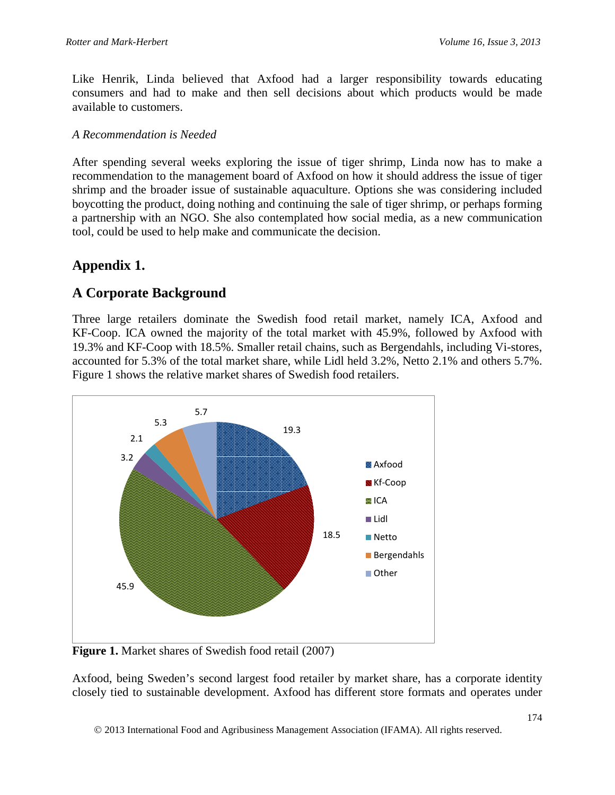Like Henrik, Linda believed that Axfood had a larger responsibility towards educating consumers and had to make and then sell decisions about which products would be made available to customers.

### *A Recommendation is Needed*

After spending several weeks exploring the issue of tiger shrimp, Linda now has to make a recommendation to the management board of Axfood on how it should address the issue of tiger shrimp and the broader issue of sustainable aquaculture. Options she was considering included boycotting the product, doing nothing and continuing the sale of tiger shrimp, or perhaps forming a partnership with an NGO. She also contemplated how social media, as a new communication tool, could be used to help make and communicate the decision.

## **Appendix 1.**

## **A Corporate Background**

Three large retailers dominate the Swedish food retail market, namely ICA, Axfood and KF-Coop. ICA owned the majority of the total market with 45.9%, followed by Axfood with 19.3% and KF-Coop with 18.5%. Smaller retail chains, such as Bergendahls, including Vi-stores, accounted for 5.3% of the total market share, while Lidl held 3.2%, Netto 2.1% and others 5.7%. Figure 1 shows the relative market shares of Swedish food retailers.



**Figure 1.** Market shares of Swedish food retail (2007)

Axfood, being Sweden's second largest food retailer by market share, has a corporate identity closely tied to sustainable development. Axfood has different store formats and operates under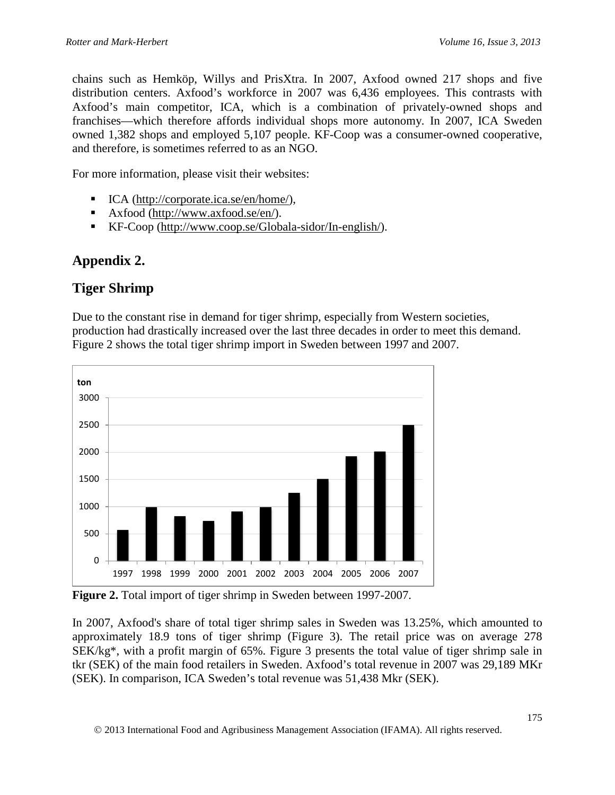chains such as Hemköp, Willys and PrisXtra. In 2007, Axfood owned 217 shops and five distribution centers. Axfood's workforce in 2007 was 6,436 employees. This contrasts with Axfood's main competitor, ICA, which is a combination of privately-owned shops and franchises—which therefore affords individual shops more autonomy. In 2007, ICA Sweden owned 1,382 shops and employed 5,107 people. KF-Coop was a consumer-owned cooperative, and therefore, is sometimes referred to as an NGO.

For more information, please visit their websites:

- ICA [\(http://corporate.ica.se/en/home/\)](http://corporate.ica.se/en/home/),
- Axfood [\(http://www.axfood.se/en/\)](http://www.axfood.se/en/).
- KF-Coop [\(http://www.coop.se/Globala-sidor/In-english/\)](http://www.coop.se/Globala-sidor/In-english/).

# **Appendix 2.**

## **Tiger Shrimp**

Due to the constant rise in demand for tiger shrimp, especially from Western societies, production had drastically increased over the last three decades in order to meet this demand. Figure 2 shows the total tiger shrimp import in Sweden between 1997 and 2007.



**Figure 2.** Total import of tiger shrimp in Sweden between 1997-2007.

In 2007, Axfood's share of total tiger shrimp sales in Sweden was 13.25%, which amounted to approximately 18.9 tons of tiger shrimp (Figure 3). The retail price was on average 278 SEK/kg\*, with a profit margin of 65%. Figure 3 presents the total value of tiger shrimp sale in tkr (SEK) of the main food retailers in Sweden. Axfood's total revenue in 2007 was 29,189 MKr (SEK). In comparison, ICA Sweden's total revenue was 51,438 Mkr (SEK).